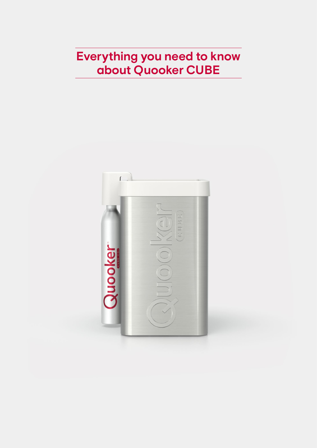## Everything you need to know about Quooker CUBE

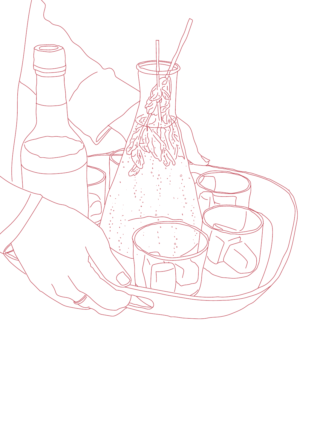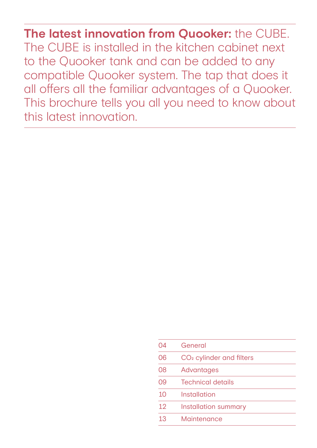**The latest innovation from Quooker:** the CUBE. The CUBE is installed in the kitchen cabinet next to the Quooker tank and can be added to any compatible Quooker system. The tap that does it all offers all the familiar advantages of a Quooker. This brochure tells you all you need to know about this latest innovation.

| 04 | General                              |
|----|--------------------------------------|
| 06 | CO <sub>2</sub> cylinder and filters |
| 08 | <b>Advantages</b>                    |
| 09 | <b>Technical details</b>             |
| 10 | Installation                         |
| 12 | Installation summary                 |
| 13 | Maintenance                          |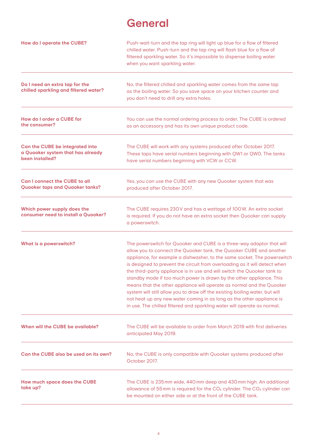#### **General**

| How do I operate the CUBE?                                                              | Push-wait-turn and the tap ring will light up blue for a flow of filtered<br>chilled water. Push-turn and the tap ring will flash blue for a flow of<br>filtered sparkling water. So it's impossible to dispense boiling water<br>when you want sparkling water.                                                                                                                                                                                                                                                                                                                                                                                                                                                                                                        |
|-----------------------------------------------------------------------------------------|-------------------------------------------------------------------------------------------------------------------------------------------------------------------------------------------------------------------------------------------------------------------------------------------------------------------------------------------------------------------------------------------------------------------------------------------------------------------------------------------------------------------------------------------------------------------------------------------------------------------------------------------------------------------------------------------------------------------------------------------------------------------------|
| Do I need an extra tap for the<br>chilled sparkling and filtered water?                 | No, the filtered chilled and sparkling water comes from the same tap<br>as the boiling water. So you save space on your kitchen counter and<br>you don't need to drill any extra holes.                                                                                                                                                                                                                                                                                                                                                                                                                                                                                                                                                                                 |
| How do I order a CUBE for<br>the consumer?                                              | You can use the normal ordering process to order. The CUBE is ordered<br>as an accessory and has its own unique product code.                                                                                                                                                                                                                                                                                                                                                                                                                                                                                                                                                                                                                                           |
| Can the CUBE be integrated into<br>a Quooker system that has already<br>been installed? | The CUBE will work with any systems produced after October 2017.<br>These taps have serial numbers beginning with QW1 or QW0. The tanks<br>have serial numbers beginning with VCW or CCW.                                                                                                                                                                                                                                                                                                                                                                                                                                                                                                                                                                               |
| <b>Can I connect the CUBE to all</b><br>Quooker taps and Quooker tanks?                 | Yes, you can use the CUBE with any new Quooker system that was<br>produced after October 2017.                                                                                                                                                                                                                                                                                                                                                                                                                                                                                                                                                                                                                                                                          |
| Which power supply does the<br>consumer need to install a Quooker?                      | The CUBE requires 230V and has a wattage of 100W. An extra socket<br>is required. If you do not have an extra socket then Quooker can supply<br>a powerswitch.                                                                                                                                                                                                                                                                                                                                                                                                                                                                                                                                                                                                          |
| What is a powerswitch?                                                                  | The powerswitch for Quooker and CUBE is a three-way adaptor that will<br>allow you to connect the Quooker tank, the Quooker CUBE and another<br>appliance, for example a dishwasher, to the same socket. The powerswitch<br>is designed to prevent the circuit from overloading as it will detect when<br>the third-party appliance is in use and will switch the Quooker tank to<br>standby mode if too much power is drawn by the other appliance. This<br>means that the other appliance will operate as normal and the Quooker<br>system will still allow you to draw off the existing boiling water, but will<br>not heat up any new water coming in as long as the other appliance is<br>in use. The chilled filtered and sparkling water will operate as normal. |
| When will the CUBE be available?                                                        | The CUBE will be available to order from March 2019 with first deliveries<br>anticipated May 2019.                                                                                                                                                                                                                                                                                                                                                                                                                                                                                                                                                                                                                                                                      |
| Can the CUBE also be used on its own?                                                   | No, the CUBE is only compatible with Quooker systems produced after<br>October 2017.                                                                                                                                                                                                                                                                                                                                                                                                                                                                                                                                                                                                                                                                                    |
| How much space does the CUBE<br>take up?                                                | The CUBE is 235 mm wide, 440 mm deep and 430 mm high. An additional<br>allowance of 55 mm is required for the CO <sub>2</sub> cylinder. The CO <sub>2</sub> cylinder can<br>be mounted on either side or at the front of the CUBE tank.                                                                                                                                                                                                                                                                                                                                                                                                                                                                                                                                 |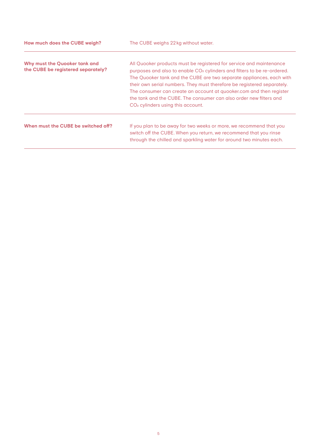| How much does the CUBE weigh?                                       | The CUBE weighs 22kg without water.                                                                                                                                                                                                                                                                                                                                                                                                                                                                |
|---------------------------------------------------------------------|----------------------------------------------------------------------------------------------------------------------------------------------------------------------------------------------------------------------------------------------------------------------------------------------------------------------------------------------------------------------------------------------------------------------------------------------------------------------------------------------------|
| Why must the Quooker tank and<br>the CUBE be registered separately? | All Quooker products must be registered for service and maintenance<br>purposes and also to enable CO <sub>2</sub> cylinders and filters to be re-ordered.<br>The Quooker tank and the CUBE are two separate appliances, each with<br>their own serial numbers. They must therefore be registered separately.<br>The consumer can create an account at quooker, com and then register<br>the tank and the CUBE. The consumer can also order new filters and<br>$CO2$ cylinders using this account. |
| When must the CUBE be switched off?                                 | If you plan to be away for two weeks or more, we recommend that you<br>switch off the CUBE. When you return, we recommend that you rinse<br>through the chilled and sparkling water for around two minutes each.                                                                                                                                                                                                                                                                                   |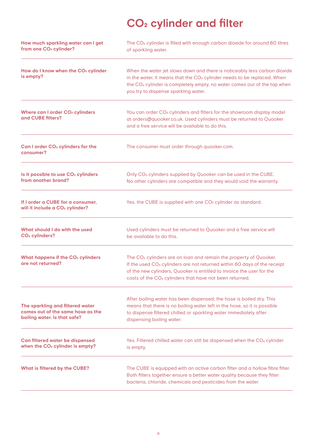## **CO₂ cylinder and filter**

| How much sparkling water can I get<br>from one CO <sub>2</sub> cylinder?                              | The CO <sub>2</sub> cylinder is filled with enough carbon dioxide for around 60 litres<br>of sparkling water.                                                                                                                                                                                                         |  |
|-------------------------------------------------------------------------------------------------------|-----------------------------------------------------------------------------------------------------------------------------------------------------------------------------------------------------------------------------------------------------------------------------------------------------------------------|--|
| How do I know when the CO <sub>2</sub> cylinder<br>is empty?                                          | When the water jet slows down and there is noticeably less carbon dioxide<br>in the water, it means that the CO <sub>2</sub> cylinder needs to be replaced. When<br>the CO <sub>2</sub> cylinder is completely empty, no water comes out of the tap when<br>you try to dispense sparkling water.                      |  |
| Where can I order CO <sub>2</sub> cylinders<br>and CUBE filters?                                      | You can order CO <sub>2</sub> cylinders and filters for the showroom display model<br>at orders@quooker.co.uk. Used cylinders must be returned to Quooker<br>and a free service will be available to do this.                                                                                                         |  |
| Can I order CO <sub>2</sub> cylinders for the<br>consumer?                                            | The consumer must order through quooker.com.                                                                                                                                                                                                                                                                          |  |
| Is it possible to use CO <sub>2</sub> cylinders<br>from another brand?                                | Only CO <sub>2</sub> cylinders supplied by Quooker can be used in the CUBE.<br>No other cylinders are compatible and they would void the warranty.                                                                                                                                                                    |  |
| If I order a CUBE for a consumer,<br>will it include a CO <sub>2</sub> cylinder?                      | Yes, the CUBE is supplied with one CO <sub>2</sub> cylinder as standard.                                                                                                                                                                                                                                              |  |
| What should I do with the used<br>CO <sub>2</sub> cylinders?                                          | Used cylinders must be returned to Quooker and a free service will<br>be available to do this.                                                                                                                                                                                                                        |  |
| What happens if the CO <sub>2</sub> cylinders<br>are not returned?                                    | The CO <sub>2</sub> cylinders are on loan and remain the property of Quooker.<br>If the used CO <sub>2</sub> cylinders are not returned within 60 days of the receipt<br>of the new cylinders, Quooker is entitled to invoice the user for the<br>costs of the CO <sub>2</sub> cylinders that have not been returned. |  |
| The sparkling and filtered water<br>comes out of the same hose as the<br>boiling water. Is that safe? | After boiling water has been dispensed, the hose is boiled dry. This<br>means that there is no boiling water left in the hose, so it is possible<br>to dispense filtered chilled or sparkling water immediately after<br>dispensing boiling water.                                                                    |  |
| <b>Can filtered water be dispensed</b><br>when the CO <sub>2</sub> cylinder is empty?                 | Yes. Filtered chilled water can still be dispensed when the CO <sub>2</sub> cylinder<br>is empty.                                                                                                                                                                                                                     |  |
| What is filtered by the CUBE?                                                                         | The CUBE is equipped with an active carbon filter and a hollow fibre filter.<br>Both filters together ensure a better water quality because they filter<br>bacteria, chloride, chemicals and pesticides from the water.                                                                                               |  |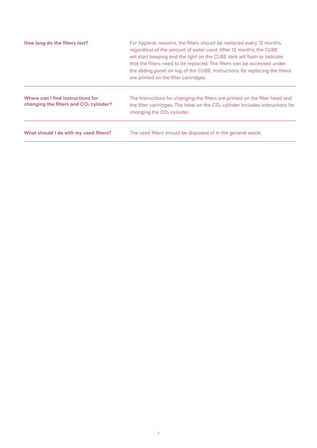| How long do the filters last?                                                           | For hygienic reasons, the filters should be replaced every 12 months.<br>regardless of the amount of water used. After 12 months, the CUBE<br>will start beeping and the light on the CUBE tank will flash to indicate<br>that the filters need to be replaced. The filters can be accessed under<br>the sliding panel on top of the CUBE. Instructions for replacing the filters<br>are printed on the filter cartridges. |
|-----------------------------------------------------------------------------------------|----------------------------------------------------------------------------------------------------------------------------------------------------------------------------------------------------------------------------------------------------------------------------------------------------------------------------------------------------------------------------------------------------------------------------|
| Where can I find instructions for<br>changing the filters and CO <sub>2</sub> cylinder? | The instructions for changing the filters are printed on the filter head and<br>the filter cartridges. The label on the $CO2$ cylinder includes instructions for<br>changing the CO <sub>2</sub> cylinder.                                                                                                                                                                                                                 |
| What should I do with my used filters?                                                  | The used filters should be disposed of in the general waste.                                                                                                                                                                                                                                                                                                                                                               |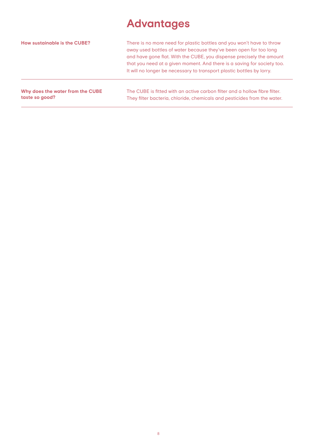### **Advantages**

| How sustainable is the CUBE?     | There is no more need for plastic bottles and you won't have to throw<br>away used bottles of water because they've been open for too long<br>and have gone flat. With the CUBE, you dispense precisely the amount<br>that you need at a given moment. And there is a saving for society too.<br>It will no longer be necessary to transport plastic bottles by lorry. |
|----------------------------------|------------------------------------------------------------------------------------------------------------------------------------------------------------------------------------------------------------------------------------------------------------------------------------------------------------------------------------------------------------------------|
| Why does the water from the CUBE | The CUBE is fitted with an active carbon filter and a hollow fibre filter.                                                                                                                                                                                                                                                                                             |
| taste so good?                   | They filter bacteria, chloride, chemicals and pesticides from the water.                                                                                                                                                                                                                                                                                               |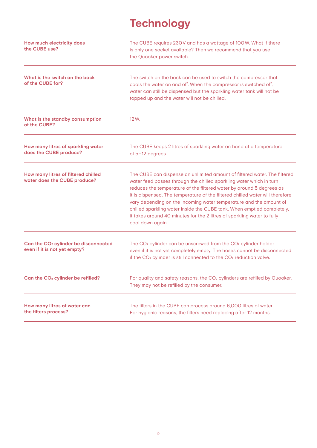#### **Technology**

| How much electricity does<br>the CUBE use?                                       | The CUBE requires 230V and has a wattage of 100W. What if there<br>is only one socket available? Then we recommend that you use<br>the Quooker power switch.                                                                                                                                                                                                                                                                                                                                                                                             |
|----------------------------------------------------------------------------------|----------------------------------------------------------------------------------------------------------------------------------------------------------------------------------------------------------------------------------------------------------------------------------------------------------------------------------------------------------------------------------------------------------------------------------------------------------------------------------------------------------------------------------------------------------|
| What is the switch on the back<br>of the CUBE for?                               | The switch on the back can be used to switch the compressor that<br>cools the water on and off. When the compressor is switched off,<br>water can still be dispensed but the sparkling water tank will not be<br>topped up and the water will not be chilled.                                                                                                                                                                                                                                                                                            |
| What is the standby consumption<br>of the CUBE?                                  | 12 W.                                                                                                                                                                                                                                                                                                                                                                                                                                                                                                                                                    |
| How many litres of sparkling water<br>does the CUBE produce?                     | The CUBE keeps 2 litres of sparkling water on hand at a temperature<br>of 5-12 degrees.                                                                                                                                                                                                                                                                                                                                                                                                                                                                  |
| How many litres of filtered chilled<br>water does the CUBE produce?              | The CUBE can dispense an unlimited amount of filtered water. The filtered<br>water feed passes through the chilled sparkling water which in turn<br>reduces the temperature of the filtered water by around 5 degrees as<br>it is dispensed. The temperature of the filtered chilled water will therefore<br>vary depending on the incoming water temperature and the amount of<br>chilled sparkling water inside the CUBE tank. When emptied completely,<br>it takes around 40 minutes for the 2 litres of sparkling water to fully<br>cool down again. |
| Can the CO <sub>2</sub> cylinder be disconnected<br>even if it is not yet empty? | The CO <sub>2</sub> cylinder can be unscrewed from the CO <sub>2</sub> cylinder holder<br>even if it is not yet completely empty. The hoses cannot be disconnected<br>if the CO <sub>2</sub> cylinder is still connected to the CO <sub>2</sub> reduction valve.                                                                                                                                                                                                                                                                                         |
| Can the CO <sub>2</sub> cylinder be refilled?                                    | For quality and safety reasons, the CO <sub>2</sub> cylinders are refilled by Quooker.<br>They may not be refilled by the consumer.                                                                                                                                                                                                                                                                                                                                                                                                                      |
| How many litres of water can<br>the filters process?                             | The filters in the CUBE can process around 6,000 litres of water.<br>For hygienic reasons, the filters need replacing after 12 months.                                                                                                                                                                                                                                                                                                                                                                                                                   |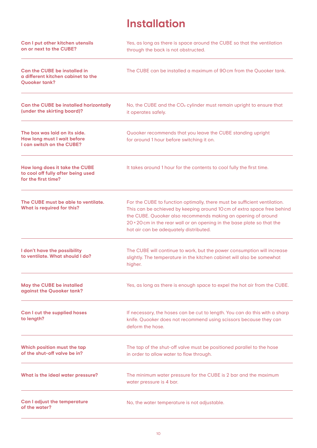#### **Installation**

| Can I put other kitchen utensils<br>on or next to the CUBE?                                 | Yes, as long as there is space around the CUBE so that the ventilation<br>through the back is not obstructed.                                                                                                                                                                                                                             |
|---------------------------------------------------------------------------------------------|-------------------------------------------------------------------------------------------------------------------------------------------------------------------------------------------------------------------------------------------------------------------------------------------------------------------------------------------|
| <b>Can the CUBE be installed in</b><br>a different kitchen cabinet to the<br>Quooker tank?  | The CUBE can be installed a maximum of 90cm from the Quooker tank.                                                                                                                                                                                                                                                                        |
| <b>Can the CUBE be installed horizontally</b><br>(under the skirting board)?                | No, the CUBE and the CO <sub>2</sub> cylinder must remain upright to ensure that<br>it operates safely.                                                                                                                                                                                                                                   |
| The box was laid on its side.<br>How long must I wait before<br>I can switch on the CUBE?   | Quooker recommends that you leave the CUBE standing upright<br>for around 1 hour before switching it on.                                                                                                                                                                                                                                  |
| How long does it take the CUBE<br>to cool off fully after being used<br>for the first time? | It takes around 1 hour for the contents to cool fully the first time.                                                                                                                                                                                                                                                                     |
| The CUBE must be able to ventilate.<br>What is required for this?                           | For the CUBE to function optimally, there must be sufficient ventilation.<br>This can be achieved by keeping around 10cm of extra space free behind<br>the CUBE. Quooker also recommends making an opening of around<br>20 × 20 cm in the rear wall or an opening in the base plate so that the<br>hot air can be adequately distributed. |
| I don't have the possibility<br>to ventilate. What should I do?                             | The CUBE will continue to work, but the power consumption will increase<br>slightly. The temperature in the kitchen cabinet will also be somewhat<br>higher.                                                                                                                                                                              |
| May the CUBE be installed<br>against the Quooker tank?                                      | Yes, as long as there is enough space to expel the hot air from the CUBE.                                                                                                                                                                                                                                                                 |
| Can I cut the supplied hoses<br>to length?                                                  | If necessary, the hoses can be cut to length. You can do this with a sharp<br>knife. Quooker does not recommend using scissors because they can<br>deform the hose.                                                                                                                                                                       |
| Which position must the tap<br>of the shut-off valve be in?                                 | The tap of the shut-off valve must be positioned parallel to the hose<br>in order to allow water to flow through.                                                                                                                                                                                                                         |
| What is the ideal water pressure?                                                           | The minimum water pressure for the CUBE is 2 bar and the maximum<br>water pressure is 4 bar.                                                                                                                                                                                                                                              |
| <b>Can I adjust the temperature</b><br>of the water?                                        | No, the water temperature is not adjustable.                                                                                                                                                                                                                                                                                              |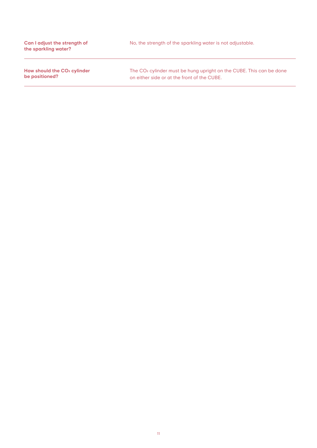**Can I adjust the strength of the sparkling water?**

No, the strength of the sparkling water is not adjustable.

**How should the CO₂ cylinder be positioned?**

The CO<sub>2</sub> cylinder must be hung upright on the CUBE. This can be done on either side or at the front of the CUBE.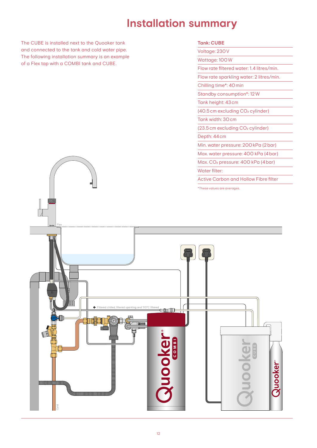#### **Installation summary**

The CUBE is installed next to the Quooker tank and connected to the tank and cold water pipe. The following installation summary is an example of a Flex tap with a COMBI tank and CUBE.

#### **Tank: CUBE**

| Voltage: 230 V                               |
|----------------------------------------------|
| Wattage: 100 W                               |
| Flow rate filtered water: 1.4 litres/min.    |
| Flow rate sparkling water: 2 litres/min.     |
| Chilling time <sup>*</sup> : 40 min          |
| Standby consumption*: 12 W                   |
| Tank height: 43 cm                           |
| $(40.5 \text{ cm}$ excluding $CO2$ cylinder) |
| Tank width: 30cm                             |
| $(23.5 \text{ cm excluding } CO2$ cylinder)  |
| Depth: 44 cm                                 |
| Min. water pressure: 200 kPa (2 bar)         |
| Max. water pressure: 400 kPa (4 bar)         |
| Max. CO2 pressure: 400 kPa (4 bar)           |
| Water filter:                                |
| Active Carbon and Hollow Fibre filter        |

\*These values are averages.

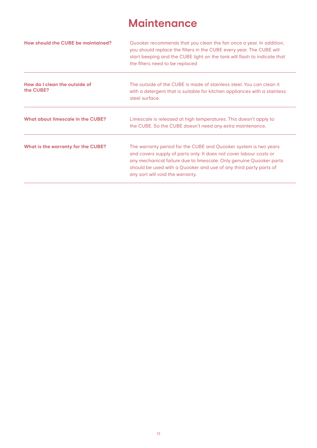#### **Maintenance**

| How should the CUBE be maintained?         | Quooker recommends that you clean the fan once a year. In addition,<br>you should replace the filters in the CUBE every year. The CUBE will<br>start beeping and the CUBE light on the tank will flash to indicate that<br>the filters need to be replaced                                                             |
|--------------------------------------------|------------------------------------------------------------------------------------------------------------------------------------------------------------------------------------------------------------------------------------------------------------------------------------------------------------------------|
| How do I clean the outside of<br>the CUBE? | The outside of the CUBE is made of stainless steel. You can clean it<br>with a detergent that is suitable for kitchen appliances with a stainless<br>steel surface.                                                                                                                                                    |
| What about limescale in the CUBE?          | Limescale is released at high temperatures. This doesn't apply to<br>the CUBE. So the CUBE doesn't need any extra maintenance.                                                                                                                                                                                         |
| What is the warranty for the CUBE?         | The warranty period for the CUBE and Quooker system is two years<br>and covers supply of parts only. It does not cover labour costs or<br>any mechanical failure due to limescale. Only genuine Quooker parts<br>should be used with a Quooker and use of any third party parts of<br>any sort will void the warranty. |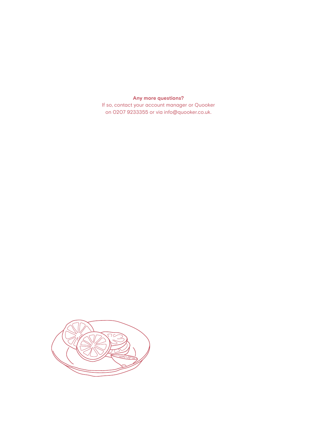#### **Any more questions?**

If so, contact your account manager or Quooker on 0207 9233355 or via info@quooker.co.uk.

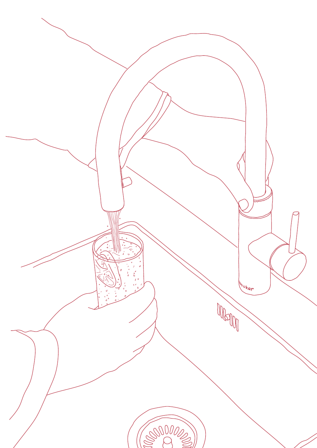